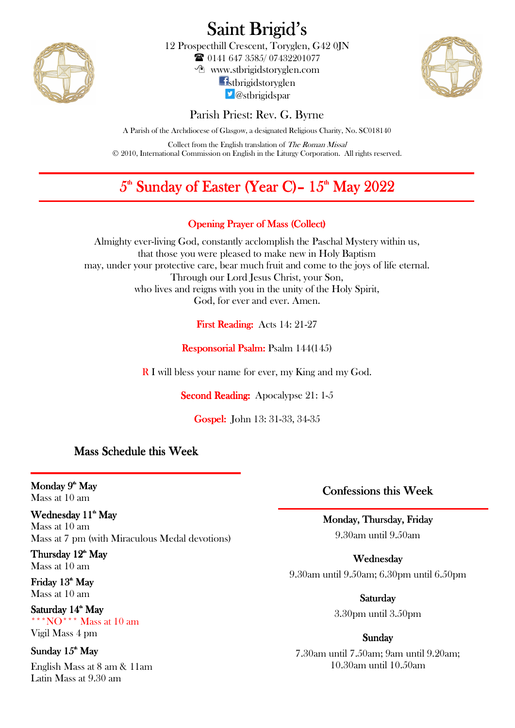

Saint Brigid's

12 Prospecthill Crescent, Toryglen, G42 0JN 0141 647 3585/ 07432201077

www.stbrigidstoryglen.com

**f**stbrigidstoryglen *D* @stbrigidspar



Parish Priest: Rev. G. Byrne

A Parish of the Archdiocese of Glasgow, a designated Religious Charity, No. SC018140

Collect from the English translation of The Roman Missal © 2010, International Commission on English in the Liturgy Corporation. All rights reserved.

# $5^{\text{\tiny th}}$  Sunday of Easter (Year C)–  $15^{\text{\tiny th}}$  May  $2022$

# Opening Prayer of Mass (Collect)

Almighty ever-living God, constantly acclomplish the Paschal Mystery within us, that those you were pleased to make new in Holy Baptism may, under your protective care, bear much fruit and come to the joys of life eternal. Through our Lord Jesus Christ, your Son, who lives and reigns with you in the unity of the Holy Spirit, God, for ever and ever. Amen.

First Reading: Acts 14: 21-27

Responsorial Psalm: Psalm 144(145)

R I will bless your name for ever, my King and my God.

Second Reading: Apocalypse 21: 1-5

Gospel: John 13: 31-33, 34-35

# Mass Schedule this Week

Monday 9<sup>th</sup> May Mass at 10 am

l,

## Wednesday 11<sup>th</sup> May

Mass at 10 am Mass at 7 pm (with Miraculous Medal devotions)

Thursday 12<sup>th</sup> May Mass at 10 am

Friday 13<sup>th</sup> May Mass at 10 am

Saturday 14<sup>th</sup> May \*\*\*NO\*\*\* Mass at 10 am Vigil Mass 4 pm

Sunday 15<sup>th</sup> May

English Mass at 8 am & 11am Latin Mass at 9.30 am

Confessions this Week

# Monday, Thursday, Friday

9.30am until 9.50am

Wednesday Wednesday 9.30am until 9.50am; 6.30pm until 6.50pm

> Saturday 3.30pm until 3.50pm

#### Sunday

7.30am until 7.50am; 9am until 9.20am; 10.30am until 10.50am